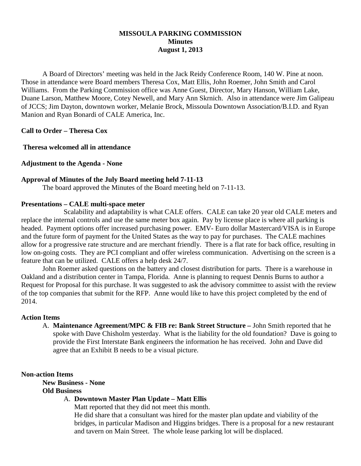# **MISSOULA PARKING COMMISSION Minutes August 1, 2013**

A Board of Directors' meeting was held in the Jack Reidy Conference Room, 140 W. Pine at noon. Those in attendance were Board members Theresa Cox, Matt Ellis, John Roemer, John Smith and Carol Williams. From the Parking Commission office was Anne Guest, Director, Mary Hanson, William Lake, Duane Larson, Matthew Moore, Cotey Newell, and Mary Ann Skrnich. Also in attendance were Jim Galipeau of JCCS; Jim Dayton, downtown worker, Melanie Brock, Missoula Downtown Association/B.I.D. and Ryan Manion and Ryan Bonardi of CALE America, Inc.

**Call to Order – Theresa Cox**

**Theresa welcomed all in attendance**

**Adjustment to the Agenda - None**

#### **Approval of Minutes of the July Board meeting held 7-11-13**

The board approved the Minutes of the Board meeting held on 7-11-13.

### **Presentations – CALE multi-space meter**

Scalability and adaptability is what CALE offers. CALE can take 20 year old CALE meters and replace the internal controls and use the same meter box again. Pay by license place is where all parking is headed. Payment options offer increased purchasing power. EMV- Euro dollar Mastercard/VISA is in Europe and the future form of payment for the United States as the way to pay for purchases. The CALE machines allow for a progressive rate structure and are merchant friendly. There is a flat rate for back office, resulting in low on-going costs. They are PCI compliant and offer wireless communication. Advertising on the screen is a feature that can be utilized. CALE offers a help desk 24/7.

John Roemer asked questions on the battery and closest distribution for parts. There is a warehouse in Oakland and a distribution center in Tampa, Florida. Anne is planning to request Dennis Burns to author a Request for Proposal for this purchase. It was suggested to ask the advisory committee to assist with the review of the top companies that submit for the RFP. Anne would like to have this project completed by the end of 2014.

#### **Action Items**

A. **Maintenance Agreement/MPC & FIB re: Bank Street Structure –** John Smith reported that he spoke with Dave Chisholm yesterday. What is the liability for the old foundation? Dave is going to provide the First Interstate Bank engineers the information he has received. John and Dave did agree that an Exhibit B needs to be a visual picture.

#### **Non-action Items**

**New Business - None Old Business**

### A. **Downtown Master Plan Update – Matt Ellis**

Matt reported that they did not meet this month.

He did share that a consultant was hired for the master plan update and viability of the bridges, in particular Madison and Higgins bridges. There is a proposal for a new restaurant and tavern on Main Street. The whole lease parking lot will be displaced.